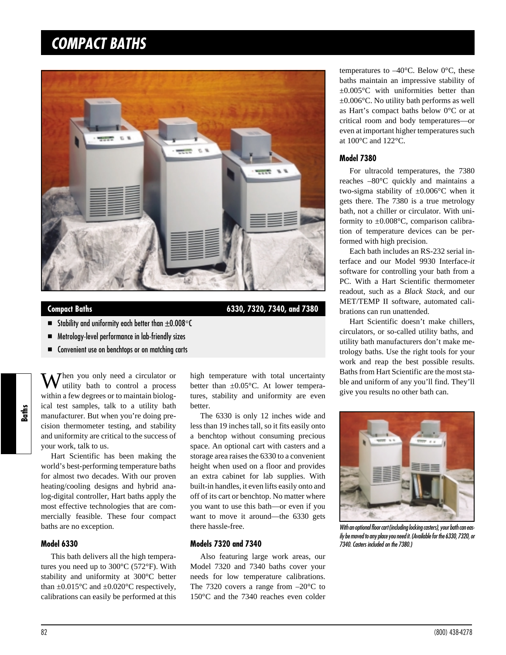# *COMPACT BATHS*



**Compact Baths 6330, 7320, 7340, and 7380**

- Stability and uniformity each better than  $\pm 0.008$   $\degree$ C
- Metrology-level performance in lab-friendly sizes
- Convenient use on benchtops or on matching carts

 $\mathbf{W}$  hen you only need a circulator or **V** utility bath to control a process within a few degrees or to maintain biological test samples, talk to a utility bath manufacturer. But when you're doing precision thermometer testing, and stability and uniformity are critical to the success of your work, talk to us.

Hart Scientific has been making the world's best-performing temperature baths for almost two decades. With our proven heating/cooling designs and hybrid analog-digital controller, Hart baths apply the most effective technologies that are commercially feasible. These four compact baths are no exception.

#### **Model 6330**

This bath delivers all the high temperatures you need up to 300°C (572°F). With stability and uniformity at 300°C better than  $\pm 0.015^{\circ}$ C and  $\pm 0.020^{\circ}$ C respectively, calibrations can easily be performed at this

high temperature with total uncertainty better than  $\pm 0.05^{\circ}$ C. At lower temperatures, stability and uniformity are even better.

The 6330 is only 12 inches wide and less than 19 inches tall, so it fits easily onto a benchtop without consuming precious space. An optional cart with casters and a storage area raises the 6330 to a convenient height when used on a floor and provides an extra cabinet for lab supplies. With built-in handles, it even lifts easily onto and off of its cart or benchtop. No matter where you want to use this bath—or even if you want to move it around—the 6330 gets there hassle-free.

#### **Models 7320 and 7340**

Also featuring large work areas, our Model 7320 and 7340 baths cover your needs for low temperature calibrations. The 7320 covers a range from  $-20^{\circ}$ C to 150°C and the 7340 reaches even colder

temperatures to  $-40^{\circ}$ C. Below 0 $^{\circ}$ C, these baths maintain an impressive stability of ±0.005°C with uniformities better than ±0.006°C. No utility bath performs as well as Hart's compact baths below 0°C or at critical room and body temperatures—or even at important higher temperatures such at 100°C and 122°C.

#### **Model 7380**

For ultracold temperatures, the 7380 reaches –80°C quickly and maintains a two-sigma stability of  $\pm 0.006$ °C when it gets there. The 7380 is a true metrology bath, not a chiller or circulator. With uniformity to  $\pm 0.008$ °C, comparison calibration of temperature devices can be performed with high precision.

Each bath includes an RS-232 serial interface and our Model 9930 Interface*-it* software for controlling your bath from a PC. With a Hart Scientific thermometer readout, such as a *Black Stack,* and our MET/TEMP II software, automated calibrations can run unattended.

Hart Scientific doesn't make chillers, circulators, or so-called utility baths, and utility bath manufacturers don't make metrology baths. Use the right tools for your work and reap the best possible results. Baths from Hart Scientific are the most stable and uniform of any you'll find. They'll give you results no other bath can.



With an optional floor cart (including locking casters), your bath can eas*ily bemoved to any place you need it.(Availablefor the 6330, 7320, or 7340. Casters included on the 7380.)*